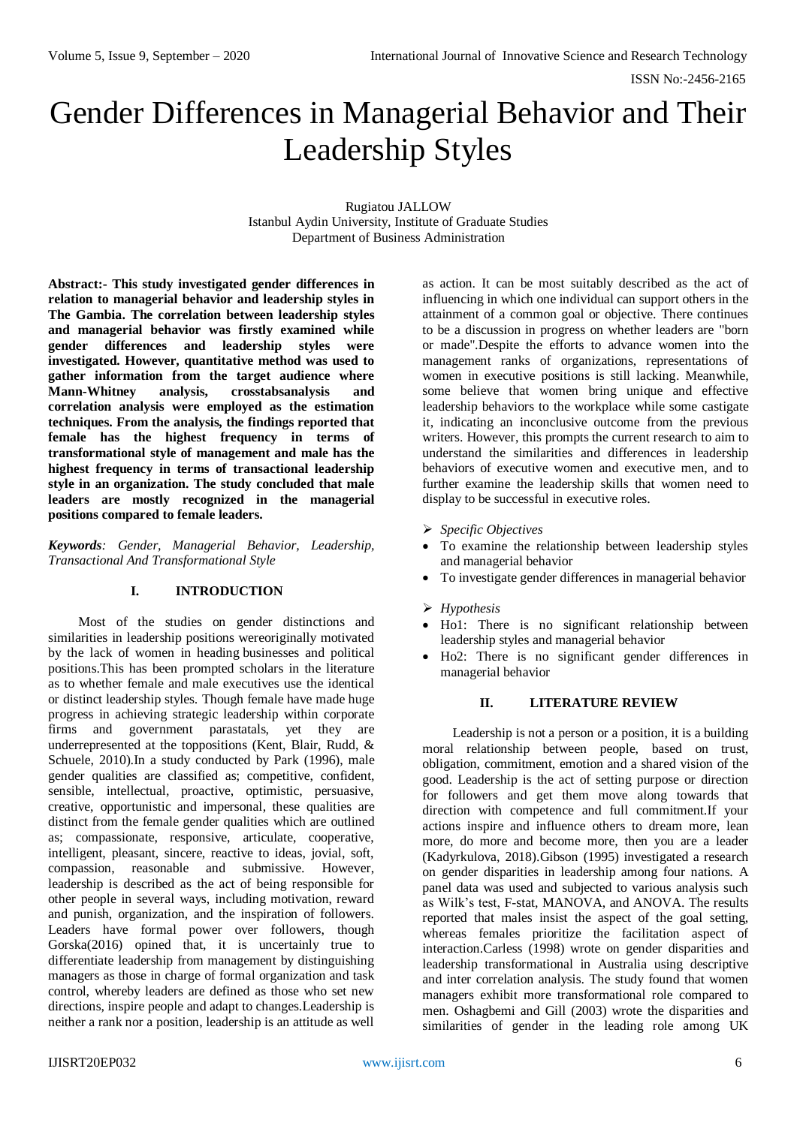# Gender Differences in Managerial Behavior and Their Leadership Styles

Rugiatou JALLOW Istanbul Aydin University, Institute of Graduate Studies Department of Business Administration

**Abstract:- This study investigated gender differences in relation to managerial behavior and leadership styles in The Gambia. The correlation between leadership styles and managerial behavior was firstly examined while gender differences and leadership styles were investigated. However, quantitative method was used to gather information from the target audience where Mann-Whitney analysis, crosstabsanalysis and correlation analysis were employed as the estimation techniques. From the analysis, the findings reported that female has the highest frequency in terms of transformational style of management and male has the highest frequency in terms of transactional leadership style in an organization. The study concluded that male leaders are mostly recognized in the managerial positions compared to female leaders.**

*Keywords: Gender, Managerial Behavior, Leadership, Transactional And Transformational Style* 

# **I. INTRODUCTION**

Most of the studies on gender distinctions and similarities in leadership positions wereoriginally motivated by the lack of women in heading businesses and political positions.This has been prompted scholars in the literature as to whether female and male executives use the identical or distinct leadership styles. Though female have made huge progress in achieving strategic leadership within corporate firms and government parastatals, yet they are underrepresented at the toppositions (Kent, Blair, Rudd, & Schuele, 2010).In a study conducted by Park (1996), male gender qualities are classified as; competitive, confident, sensible, intellectual, proactive, optimistic, persuasive, creative, opportunistic and impersonal, these qualities are distinct from the female gender qualities which are outlined as; compassionate, responsive, articulate, cooperative, intelligent, pleasant, sincere, reactive to ideas, jovial, soft, compassion, reasonable and submissive. However, leadership is described as the act of being responsible for other people in several ways, including motivation, reward and punish, organization, and the inspiration of followers. Leaders have formal power over followers, though Gorska(2016) opined that, it is uncertainly true to differentiate leadership from management by distinguishing managers as those in charge of formal organization and task control, whereby leaders are defined as those who set new directions, inspire people and adapt to changes.Leadership is neither a rank nor a position, leadership is an attitude as well

as action. It can be most suitably described as the act of influencing in which one individual can support others in the attainment of a common goal or objective. There continues to be a discussion in progress on whether leaders are "born or made".Despite the efforts to advance women into the management ranks of organizations, representations of women in executive positions is still lacking. Meanwhile, some believe that women bring unique and effective leadership behaviors to the workplace while some castigate it, indicating an inconclusive outcome from the previous writers. However, this prompts the current research to aim to understand the similarities and differences in leadership behaviors of executive women and executive men, and to further examine the leadership skills that women need to display to be successful in executive roles.

- *Specific Objectives*
- To examine the relationship between leadership styles and managerial behavior
- To investigate gender differences in managerial behavior
- *Hypothesis*
- Ho1: There is no significant relationship between leadership styles and managerial behavior
- Ho2: There is no significant gender differences in managerial behavior

# **II. LITERATURE REVIEW**

Leadership is not a person or a position, it is a building moral relationship between people, based on trust, obligation, commitment, emotion and a shared vision of the good. Leadership is the act of setting purpose or direction for followers and get them move along towards that direction with competence and full commitment.If your actions inspire and influence others to dream more, lean more, do more and become more, then you are a leader (Kadyrkulova, 2018).Gibson (1995) investigated a research on gender disparities in leadership among four nations. A panel data was used and subjected to various analysis such as Wilk's test, F-stat, MANOVA, and ANOVA. The results reported that males insist the aspect of the goal setting, whereas females prioritize the facilitation aspect of interaction.Carless (1998) wrote on gender disparities and leadership transformational in Australia using descriptive and inter correlation analysis. The study found that women managers exhibit more transformational role compared to men. Oshagbemi and Gill (2003) wrote the disparities and similarities of gender in the leading role among UK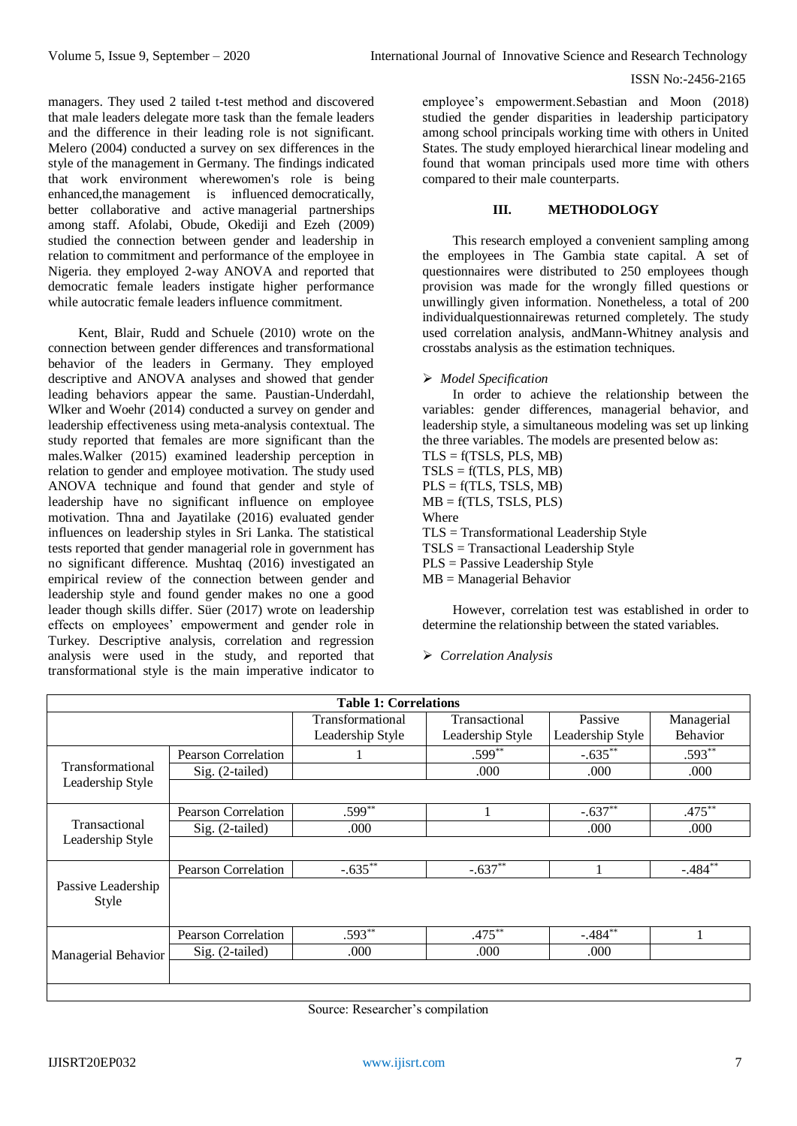### ISSN No:-2456-2165

managers. They used 2 tailed t-test method and discovered that male leaders delegate more task than the female leaders and the difference in their leading role is not significant. Melero (2004) conducted a survey on sex differences in the style of the management in Germany. The findings indicated that work environment wherewomen's role is being enhanced,the management is influenced democratically, better collaborative and active managerial partnerships among staff. Afolabi, Obude, Okediji and Ezeh (2009) studied the connection between gender and leadership in relation to commitment and performance of the employee in Nigeria. they employed 2-way ANOVA and reported that democratic female leaders instigate higher performance while autocratic female leaders influence commitment.

Kent, Blair, Rudd and Schuele (2010) wrote on the connection between gender differences and transformational behavior of the leaders in Germany. They employed descriptive and ANOVA analyses and showed that gender leading behaviors appear the same. Paustian-Underdahl, Wlker and Woehr (2014) conducted a survey on gender and leadership effectiveness using meta-analysis contextual. The study reported that females are more significant than the males.Walker (2015) examined leadership perception in relation to gender and employee motivation. The study used ANOVA technique and found that gender and style of leadership have no significant influence on employee motivation. Thna and Jayatilake (2016) evaluated gender influences on leadership styles in Sri Lanka. The statistical tests reported that gender managerial role in government has no significant difference. Mushtaq (2016) investigated an empirical review of the connection between gender and leadership style and found gender makes no one a good leader though skills differ. Süer (2017) wrote on leadership effects on employees' empowerment and gender role in Turkey. Descriptive analysis, correlation and regression analysis were used in the study, and reported that transformational style is the main imperative indicator to

employee's empowerment.Sebastian and Moon (2018) studied the gender disparities in leadership participatory among school principals working time with others in United States. The study employed hierarchical linear modeling and found that woman principals used more time with others compared to their male counterparts.

# **III. METHODOLOGY**

This research employed a convenient sampling among the employees in The Gambia state capital. A set of questionnaires were distributed to 250 employees though provision was made for the wrongly filled questions or unwillingly given information. Nonetheless, a total of 200 individualquestionnairewas returned completely. The study used correlation analysis, andMann-Whitney analysis and crosstabs analysis as the estimation techniques.

# *Model Specification*

In order to achieve the relationship between the variables: gender differences, managerial behavior, and leadership style, a simultaneous modeling was set up linking the three variables. The models are presented below as:

```
TLS = f(TSLS, PLS, MB)TSLS = f(TLS, PLS, MB)PLS = f(TLS, TSLS, MB)MB = f(TLS, TSLS, PLS)Where
TLS = Transformational Leadership Style
TSLS = Transactional Leadership Style
PLS = Passive Leadership Style
MB =Managerial Behavior
```
However, correlation test was established in order to determine the relationship between the stated variables.

# *Correlation Analysis*

|                             | <b>Table 1: Correlations</b> |                  |                  |                  |            |  |  |  |  |  |
|-----------------------------|------------------------------|------------------|------------------|------------------|------------|--|--|--|--|--|
|                             |                              | Transformational | Transactional    | Passive          | Managerial |  |  |  |  |  |
|                             |                              | Leadership Style | Leadership Style | Leadership Style | Behavior   |  |  |  |  |  |
|                             | Pearson Correlation          |                  | $.599***$        | $-.635***$       | $.593**$   |  |  |  |  |  |
| Transformational            | Sig. (2-tailed)              |                  | .000             | .000             | .000       |  |  |  |  |  |
| Leadership Style            |                              |                  |                  |                  |            |  |  |  |  |  |
| Transactional               | Pearson Correlation          | $.599**$         |                  | $-.637**$        | $.475***$  |  |  |  |  |  |
|                             | Sig. (2-tailed)              | .000             |                  | .000             | .000       |  |  |  |  |  |
| Leadership Style            |                              |                  |                  |                  |            |  |  |  |  |  |
|                             | Pearson Correlation          | $-.635**$        | $-.637**$        |                  | $-.484**$  |  |  |  |  |  |
| Passive Leadership<br>Style |                              |                  |                  |                  |            |  |  |  |  |  |
|                             | Pearson Correlation          | $.593**$         | $.475***$        | $-.484***$       |            |  |  |  |  |  |
| Managerial Behavior         | Sig. (2-tailed)              | .000             | .000             | .000             |            |  |  |  |  |  |
|                             |                              |                  |                  |                  |            |  |  |  |  |  |

Source: Researcher's compilation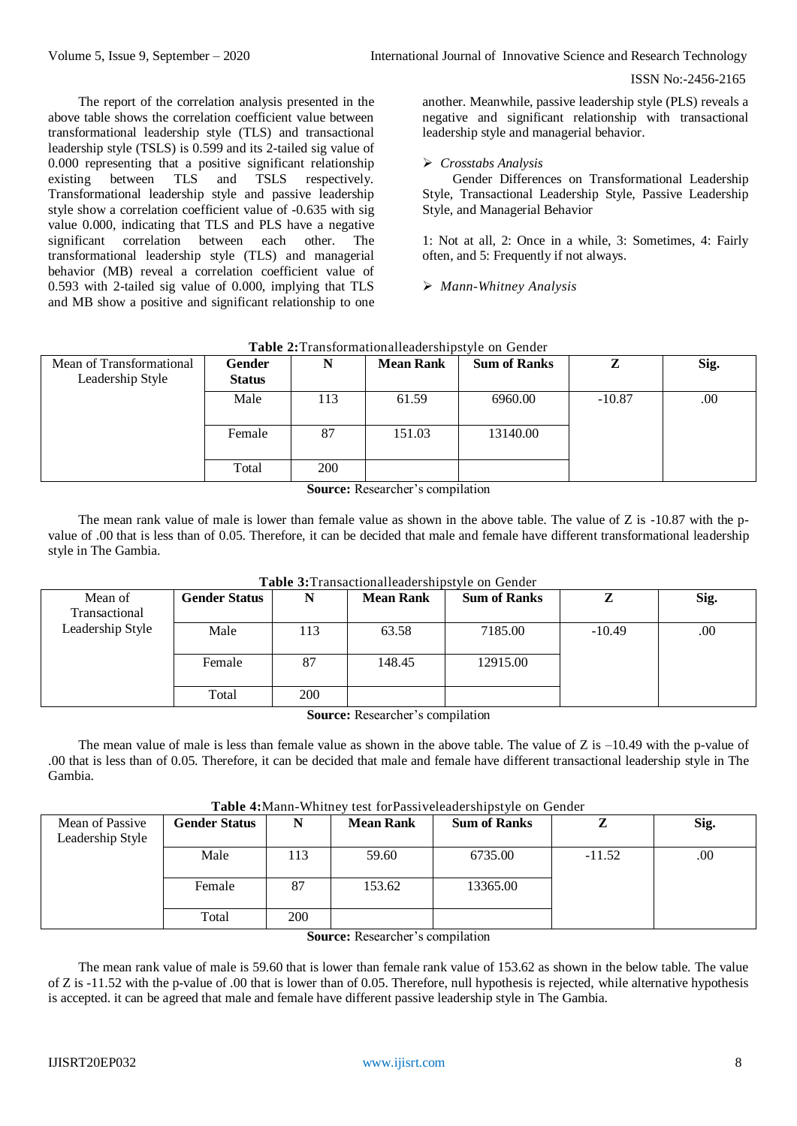#### ISSN No:-2456-2165

The report of the correlation analysis presented in the above table shows the correlation coefficient value between transformational leadership style (TLS) and transactional leadership style (TSLS) is 0.599 and its 2-tailed sig value of 0.000 representing that a positive significant relationship existing between TLS and TSLS respectively. Transformational leadership style and passive leadership style show a correlation coefficient value of -0.635 with sig value 0.000, indicating that TLS and PLS have a negative significant correlation between each other. The transformational leadership style (TLS) and managerial behavior (MB) reveal a correlation coefficient value of 0.593 with 2-tailed sig value of 0.000, implying that TLS and MB show a positive and significant relationship to one another. Meanwhile, passive leadership style (PLS) reveals a negative and significant relationship with transactional leadership style and managerial behavior.

# *Crosstabs Analysis*

Gender Differences on Transformational Leadership Style, Transactional Leadership Style, Passive Leadership Style, and Managerial Behavior

1: Not at all, 2: Once in a while, 3: Sometimes, 4: Fairly often, and 5: Frequently if not always.

*Mann-Whitney Analysis*

| Mean of Transformational<br>Leadership Style | Gender<br><b>Status</b> | N          | <b>Mean Rank</b>             | <b>Sum of Ranks</b> | Z        | Sig. |
|----------------------------------------------|-------------------------|------------|------------------------------|---------------------|----------|------|
|                                              | Male                    | 113        | 61.59                        | 6960.00             | $-10.87$ | .00. |
|                                              | Female                  | 87         | 151.03                       | 13140.00            |          |      |
|                                              | Total                   | <b>200</b> |                              |                     |          |      |
|                                              |                         |            | Course Descended compilation |                     |          |      |

# **Table 2:**Transformationalleadershipstyle on Gender

**Source:** Researcher's compilation

The mean rank value of male is lower than female value as shown in the above table. The value of  $Z$  is  $-10.87$  with the pvalue of .00 that is less than of 0.05. Therefore, it can be decided that male and female have different transformational leadership style in The Gambia.

|                  |                      |            | <b>Table 3:</b> Fransactionalicated shipsivie on Gender |                     |          |         |
|------------------|----------------------|------------|---------------------------------------------------------|---------------------|----------|---------|
| Mean of          | <b>Gender Status</b> | N          | <b>Mean Rank</b>                                        | <b>Sum of Ranks</b> |          | Sig.    |
| Transactional    |                      |            |                                                         |                     |          |         |
| Leadership Style | Male                 | 113        | 63.58                                                   | 7185.00             | $-10.49$ | $.00\,$ |
|                  | Female               | 87         | 148.45                                                  | 12915.00            |          |         |
|                  | Total                | <b>200</b> |                                                         |                     |          |         |

**Table 3:**Transactionalleadershipstyle on Gender

**Source:** Researcher's compilation

The mean value of male is less than female value as shown in the above table. The value of  $Z$  is  $-10.49$  with the p-value of .00 that is less than of 0.05. Therefore, it can be decided that male and female have different transactional leadership style in The Gambia.

| Table 4: Mann-Whitney test for Passiveleadershipstyle on Gender |  |  |
|-----------------------------------------------------------------|--|--|
|                                                                 |  |  |

| <b>Table +</b> , maille whithey test fort assive readershipsevic on Gender |                      |     |                  |                     |          |      |  |  |  |  |  |
|----------------------------------------------------------------------------|----------------------|-----|------------------|---------------------|----------|------|--|--|--|--|--|
| Mean of Passive<br>Leadership Style                                        | <b>Gender Status</b> | N   | <b>Mean Rank</b> | <b>Sum of Ranks</b> |          | Sig. |  |  |  |  |  |
|                                                                            | Male                 | 113 | 59.60            | 6735.00             | $-11.52$ | .00. |  |  |  |  |  |
|                                                                            | Female               | 87  | 153.62           | 13365.00            |          |      |  |  |  |  |  |
|                                                                            | Total                | 200 |                  |                     |          |      |  |  |  |  |  |

**Source:** Researcher's compilation

The mean rank value of male is 59.60 that is lower than female rank value of 153.62 as shown in the below table. The value of Z is -11.52 with the p-value of .00 that is lower than of 0.05. Therefore, null hypothesis is rejected, while alternative hypothesis is accepted. it can be agreed that male and female have different passive leadership style in The Gambia.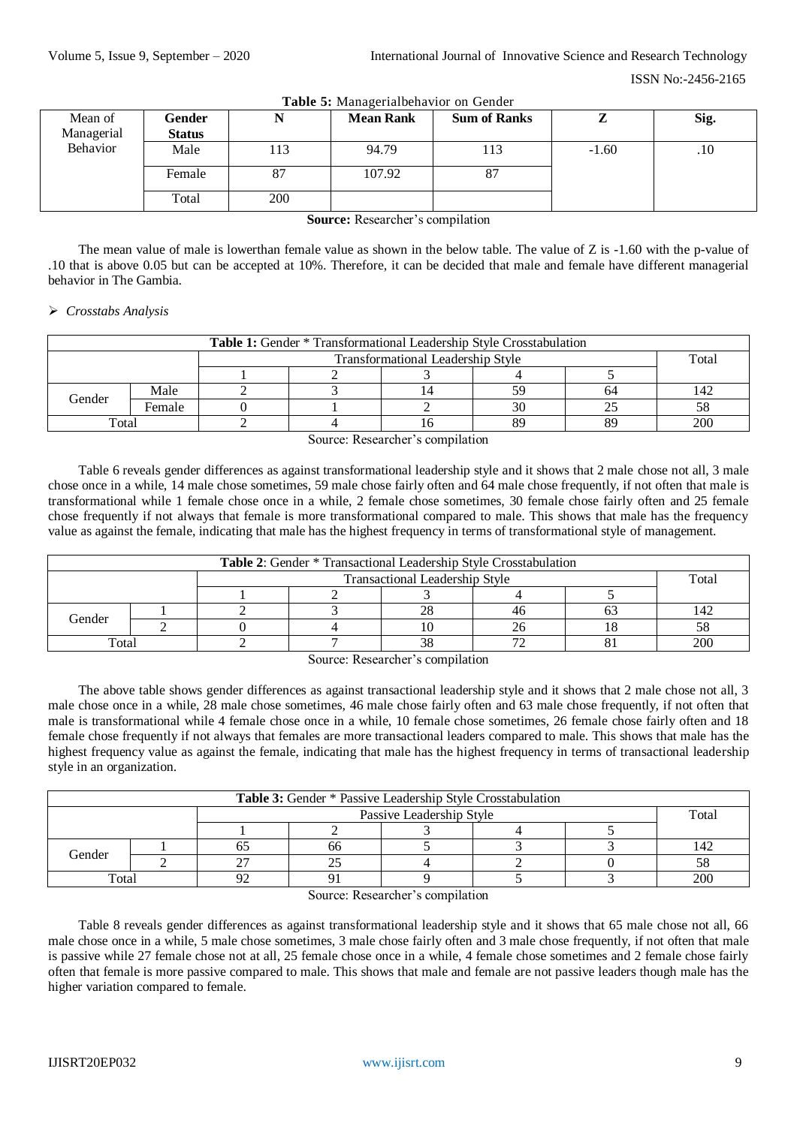| <b>rapic 9:</b> managemanochavior on oction |               |     |                  |                     |         |      |  |  |  |
|---------------------------------------------|---------------|-----|------------------|---------------------|---------|------|--|--|--|
| Mean of                                     | Gender        |     | <b>Mean Rank</b> | <b>Sum of Ranks</b> | ,,      | Sig. |  |  |  |
| Managerial                                  | <b>Status</b> |     |                  |                     |         |      |  |  |  |
| Behavior                                    | Male          | 113 | 94.79            | 113                 | $-1.60$ | .10  |  |  |  |
|                                             | Female        | 87  | 107.92           | 87                  |         |      |  |  |  |
|                                             | Total         | 200 |                  |                     |         |      |  |  |  |

**Table 5:** Managerialbehavior on Gender

**Source:** Researcher's compilation

The mean value of male is lowerthan female value as shown in the below table. The value of Z is -1.60 with the p-value of .10 that is above 0.05 but can be accepted at 10%. Therefore, it can be decided that male and female have different managerial behavior in The Gambia.

#### *Crosstabs Analysis*

| Table 1: Gender * Transformational Leadership Style Crosstabulation |        |  |  |    |    |       |     |  |  |
|---------------------------------------------------------------------|--------|--|--|----|----|-------|-----|--|--|
| Transformational Leadership Style                                   |        |  |  |    |    | Total |     |  |  |
|                                                                     |        |  |  |    |    |       |     |  |  |
| Gender                                                              | Male   |  |  |    | 59 | 64    | 142 |  |  |
|                                                                     | Female |  |  |    | 30 |       |     |  |  |
| Total                                                               |        |  |  | 10 | 89 | 89    | 200 |  |  |

Source: Researcher's compilation

Table 6 reveals gender differences as against transformational leadership style and it shows that 2 male chose not all, 3 male chose once in a while, 14 male chose sometimes, 59 male chose fairly often and 64 male chose frequently, if not often that male is transformational while 1 female chose once in a while, 2 female chose sometimes, 30 female chose fairly often and 25 female chose frequently if not always that female is more transformational compared to male. This shows that male has the frequency value as against the female, indicating that male has the highest frequency in terms of transformational style of management.

| <b>Table 2:</b> Gender * Transactional Leadership Style Crosstabulation |  |  |    |    |    |     |       |  |  |
|-------------------------------------------------------------------------|--|--|----|----|----|-----|-------|--|--|
| <b>Transactional Leadership Style</b>                                   |  |  |    |    |    |     | Total |  |  |
|                                                                         |  |  |    |    |    |     |       |  |  |
| Gender                                                                  |  |  |    | 28 | 4t |     | 142   |  |  |
|                                                                         |  |  |    |    |    |     |       |  |  |
| Total                                                                   |  |  | 38 |    |    | 200 |       |  |  |

Source: Researcher's compilation

The above table shows gender differences as against transactional leadership style and it shows that 2 male chose not all, 3 male chose once in a while, 28 male chose sometimes, 46 male chose fairly often and 63 male chose frequently, if not often that male is transformational while 4 female chose once in a while, 10 female chose sometimes, 26 female chose fairly often and 18 female chose frequently if not always that females are more transactional leaders compared to male. This shows that male has the highest frequency value as against the female, indicating that male has the highest frequency in terms of transactional leadership style in an organization.

| Table 3: Gender * Passive Leadership Style Crosstabulation |  |  |    |  |  |     |       |  |  |
|------------------------------------------------------------|--|--|----|--|--|-----|-------|--|--|
| Passive Leadership Style                                   |  |  |    |  |  |     | Total |  |  |
|                                                            |  |  |    |  |  |     |       |  |  |
| Gender                                                     |  |  | 66 |  |  |     | 142   |  |  |
|                                                            |  |  |    |  |  |     |       |  |  |
| Total                                                      |  |  |    |  |  | 200 |       |  |  |

Source: Researcher's compilation

Table 8 reveals gender differences as against transformational leadership style and it shows that 65 male chose not all, 66 male chose once in a while, 5 male chose sometimes, 3 male chose fairly often and 3 male chose frequently, if not often that male is passive while 27 female chose not at all, 25 female chose once in a while, 4 female chose sometimes and 2 female chose fairly often that female is more passive compared to male. This shows that male and female are not passive leaders though male has the higher variation compared to female.